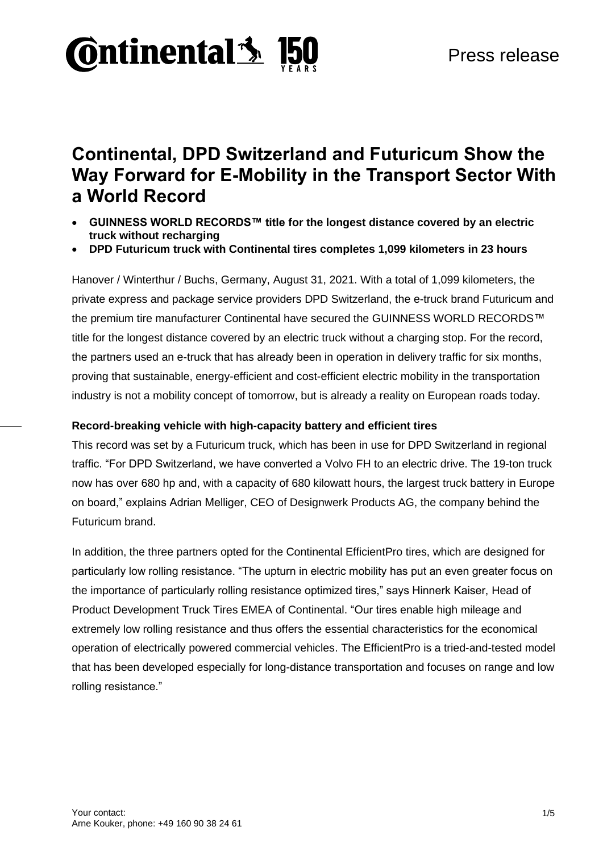

# **Continental, DPD Switzerland and Futuricum Show the Way Forward for E-Mobility in the Transport Sector With a World Record**

- **GUINNESS WORLD RECORDS™ title for the longest distance covered by an electric truck without recharging**
- **DPD Futuricum truck with Continental tires completes 1,099 kilometers in 23 hours**

Hanover / Winterthur / Buchs, Germany, August 31, 2021. With a total of 1,099 kilometers, the private express and package service providers DPD Switzerland, the e-truck brand Futuricum and the premium tire manufacturer Continental have secured the GUINNESS WORLD RECORDS™ title for the longest distance covered by an electric truck without a charging stop. For the record, the partners used an e-truck that has already been in operation in delivery traffic for six months, proving that sustainable, energy-efficient and cost-efficient electric mobility in the transportation industry is not a mobility concept of tomorrow, but is already a reality on European roads today.

#### **Record-breaking vehicle with high-capacity battery and efficient tires**

This record was set by a Futuricum truck, which has been in use for DPD Switzerland in regional traffic. "For DPD Switzerland, we have converted a Volvo FH to an electric drive. The 19-ton truck now has over 680 hp and, with a capacity of 680 kilowatt hours, the largest truck battery in Europe on board," explains Adrian Melliger, CEO of Designwerk Products AG, the company behind the Futuricum brand.

In addition, the three partners opted for the Continental EfficientPro tires, which are designed for particularly low rolling resistance. "The upturn in electric mobility has put an even greater focus on the importance of particularly rolling resistance optimized tires," says Hinnerk Kaiser, Head of Product Development Truck Tires EMEA of Continental. "Our tires enable high mileage and extremely low rolling resistance and thus offers the essential characteristics for the economical operation of electrically powered commercial vehicles. The EfficientPro is a tried-and-tested model that has been developed especially for long-distance transportation and focuses on range and low rolling resistance."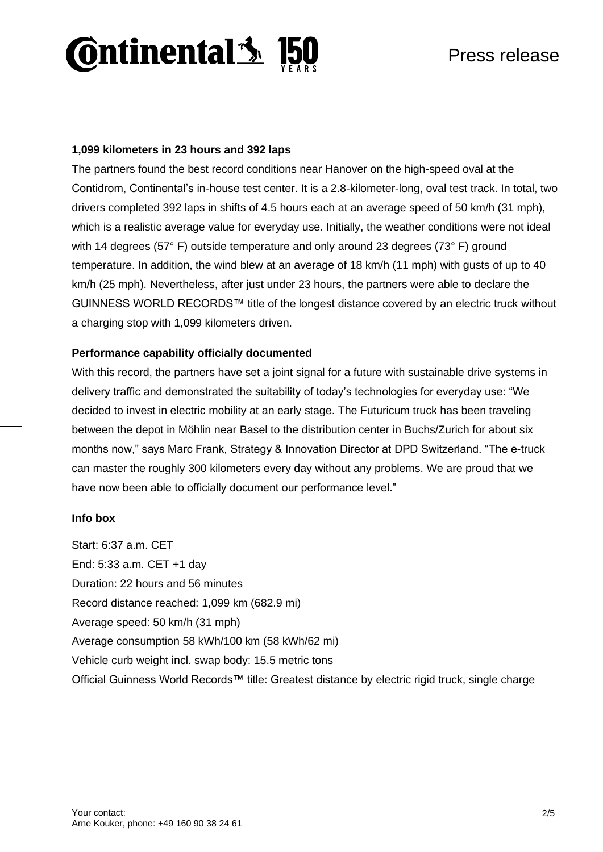

### **1,099 kilometers in 23 hours and 392 laps**

The partners found the best record conditions near Hanover on the high-speed oval at the Contidrom, Continental's in-house test center. It is a 2.8-kilometer-long, oval test track. In total, two drivers completed 392 laps in shifts of 4.5 hours each at an average speed of 50 km/h (31 mph), which is a realistic average value for everyday use. Initially, the weather conditions were not ideal with 14 degrees (57° F) outside temperature and only around 23 degrees (73° F) ground temperature. In addition, the wind blew at an average of 18 km/h (11 mph) with gusts of up to 40 km/h (25 mph). Nevertheless, after just under 23 hours, the partners were able to declare the GUINNESS WORLD RECORDS™ title of the longest distance covered by an electric truck without a charging stop with 1,099 kilometers driven.

#### **Performance capability officially documented**

With this record, the partners have set a joint signal for a future with sustainable drive systems in delivery traffic and demonstrated the suitability of today's technologies for everyday use: "We decided to invest in electric mobility at an early stage. The Futuricum truck has been traveling between the depot in Möhlin near Basel to the distribution center in Buchs/Zurich for about six months now," says Marc Frank, Strategy & Innovation Director at DPD Switzerland. "The e-truck can master the roughly 300 kilometers every day without any problems. We are proud that we have now been able to officially document our performance level."

#### **Info box**

Start: 6:37 a.m. CET End: 5:33 a.m. CET +1 day Duration: 22 hours and 56 minutes Record distance reached: 1,099 km (682.9 mi) Average speed: 50 km/h (31 mph) Average consumption 58 kWh/100 km (58 kWh/62 mi) Vehicle curb weight incl. swap body: 15.5 metric tons Official Guinness World Records™ title: Greatest distance by electric rigid truck, single charge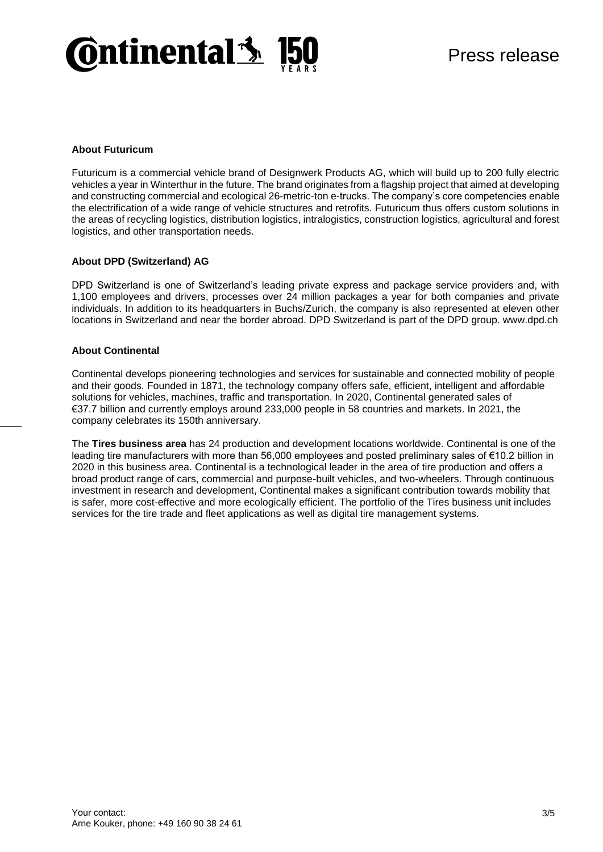

#### **About Futuricum**

Futuricum is a commercial vehicle brand of Designwerk Products AG, which will build up to 200 fully electric vehicles a year in Winterthur in the future. The brand originates from a flagship project that aimed at developing and constructing commercial and ecological 26-metric-ton e-trucks. The company's core competencies enable the electrification of a wide range of vehicle structures and retrofits. Futuricum thus offers custom solutions in the areas of recycling logistics, distribution logistics, intralogistics, construction logistics, agricultural and forest logistics, and other transportation needs.

#### **About DPD (Switzerland) AG**

DPD Switzerland is one of Switzerland's leading private express and package service providers and, with 1,100 employees and drivers, processes over 24 million packages a year for both companies and private individuals. In addition to its headquarters in Buchs/Zurich, the company is also represented at eleven other locations in Switzerland and near the border abroad. DPD Switzerland is part of the DPD group. www.dpd.ch

#### **About Continental**

Continental develops pioneering technologies and services for sustainable and connected mobility of people and their goods. Founded in 1871, the technology company offers safe, efficient, intelligent and affordable solutions for vehicles, machines, traffic and transportation. In 2020, Continental generated sales of €37.7 billion and currently employs around 233,000 people in 58 countries and markets. In 2021, the company celebrates its 150th anniversary.

The **Tires business area** has 24 production and development locations worldwide. Continental is one of the leading tire manufacturers with more than 56,000 employees and posted preliminary sales of €10.2 billion in 2020 in this business area. Continental is a technological leader in the area of tire production and offers a broad product range of cars, commercial and purpose-built vehicles, and two-wheelers. Through continuous investment in research and development, Continental makes a significant contribution towards mobility that is safer, more cost-effective and more ecologically efficient. The portfolio of the Tires business unit includes services for the tire trade and fleet applications as well as digital tire management systems.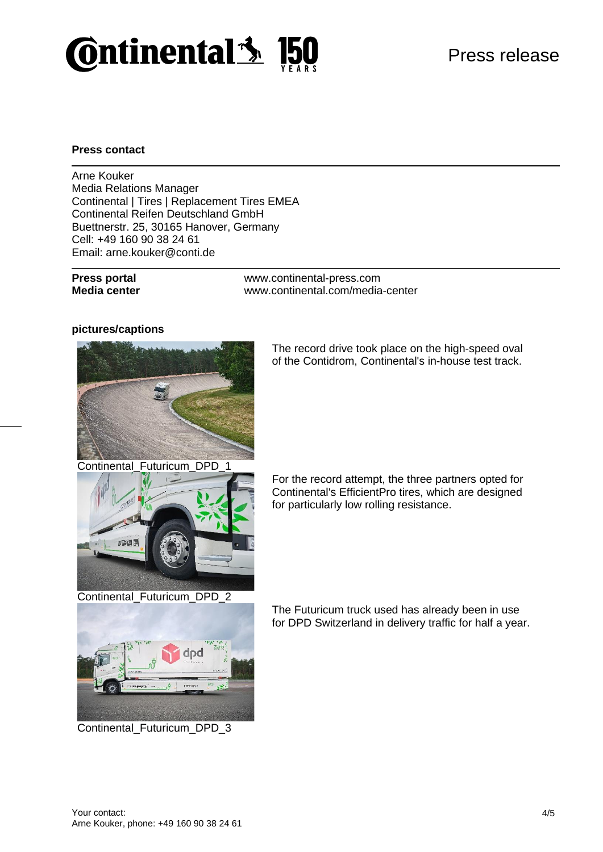

### **Press contact**

Arne Kouker Media Relations Manager Continental | Tires | Replacement Tires EMEA Continental Reifen Deutschland GmbH Buettnerstr. 25, 30165 Hanover, Germany Cell: +49 160 90 38 24 61 Email: arne.kouker@conti.de

**Press portal** www.continental-press.com **Media center** [www.continental.com/media-center](http://www.continental.com/media-center)

#### **pictures/captions**



The record drive took place on the high-speed oval of the Contidrom, Continental's in-house test track.



For the record attempt, the three partners opted for Continental's EfficientPro tires, which are designed for particularly low rolling resistance.



Continental\_Futuricum\_DPD\_3

The Futuricum truck used has already been in use for DPD Switzerland in delivery traffic for half a year.